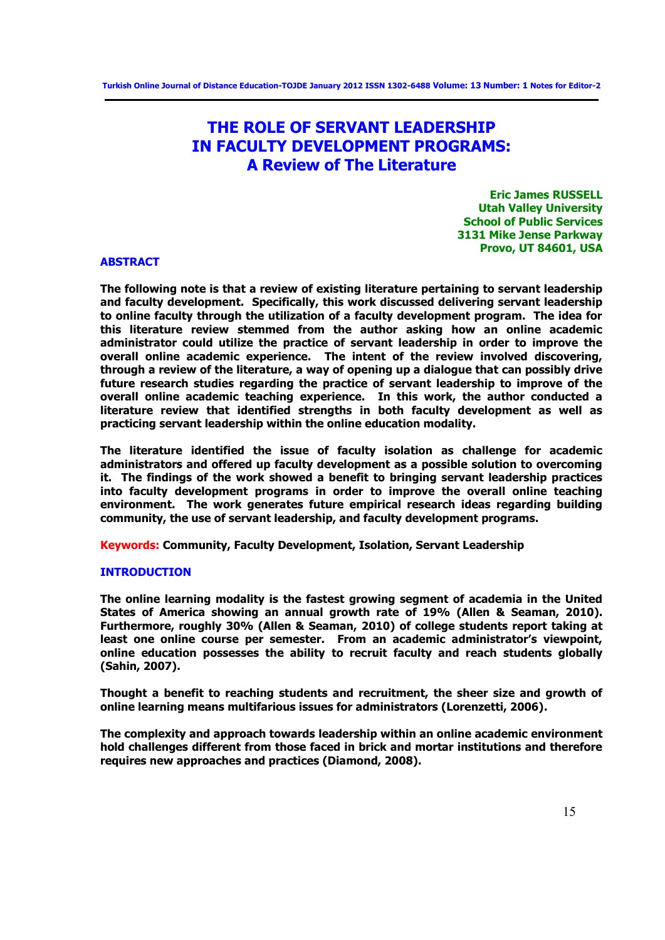# **THE ROLE OF SERVANT LEADERSHIP IN FACULTY DEVELOPMENT PROGRAMS: A Review of The Literature**

**Eric James RUSSELL Utah Valley University School of Public Services 3131 Mike Jense Parkway Provo, UT 84601, USA** 

#### **ABSTRACT**

**The following note is that a review of existing literature pertaining to servant leadership and faculty development. Specifically, this work discussed delivering servant leadership to online faculty through the utilization of a faculty development program. The idea for this literature review stemmed from the author asking how an online academic administrator could utilize the practice of servant leadership in order to improve the overall online academic experience. The intent of the review involved discovering, through a review of the literature, a way of opening up a dialogue that can possibly drive future research studies regarding the practice of servant leadership to improve of the overall online academic teaching experience. In this work, the author conducted a literature review that identified strengths in both faculty development as well as practicing servant leadership within the online education modality.** 

**The literature identified the issue of faculty isolation as challenge for academic administrators and offered up faculty development as a possible solution to overcoming it. The findings of the work showed a benefit to bringing servant leadership practices into faculty development programs in order to improve the overall online teaching environment. The work generates future empirical research ideas regarding building community, the use of servant leadership, and faculty development programs.** 

**Keywords: Community, Faculty Development, Isolation, Servant Leadership**

# **INTRODUCTION**

**The online learning modality is the fastest growing segment of academia in the United States of America showing an annual growth rate of 19% (Allen & Seaman, 2010). Furthermore, roughly 30% (Allen & Seaman, 2010) of college students report taking at least one online course per semester. From an academic administrator's viewpoint, online education possesses the ability to recruit faculty and reach students globally (Sahin, 2007).** 

**Thought a benefit to reaching students and recruitment, the sheer size and growth of online learning means multifarious issues for administrators (Lorenzetti, 2006).** 

**The complexity and approach towards leadership within an online academic environment hold challenges different from those faced in brick and mortar institutions and therefore requires new approaches and practices (Diamond, 2008).**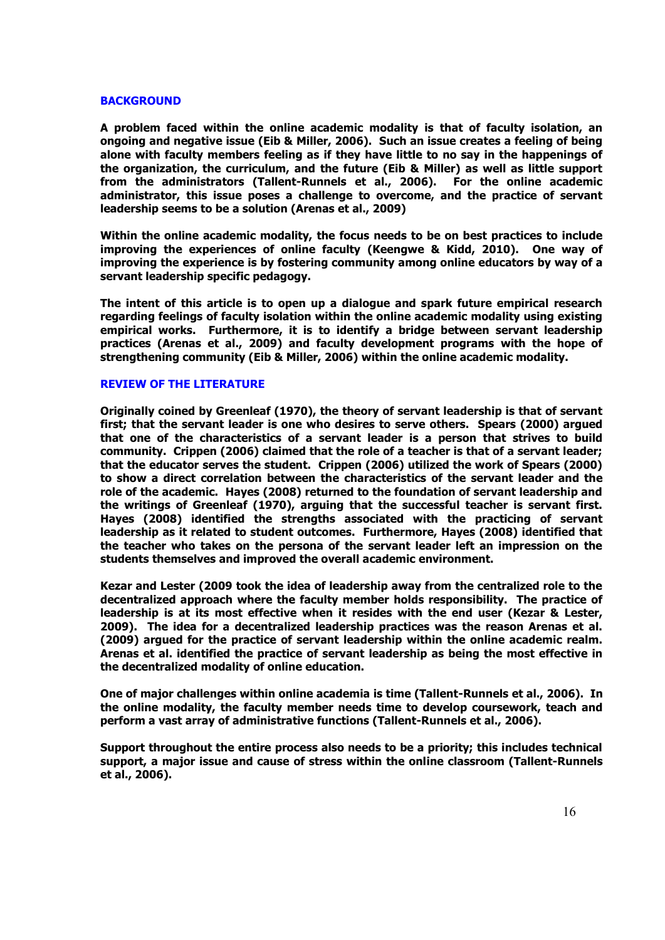## **BACKGROUND**

**A problem faced within the online academic modality is that of faculty isolation, an ongoing and negative issue (Eib & Miller, 2006). Such an issue creates a feeling of being alone with faculty members feeling as if they have little to no say in the happenings of the organization, the curriculum, and the future (Eib & Miller) as well as little support from the administrators (Tallent-Runnels et al., 2006). For the online academic administrator, this issue poses a challenge to overcome, and the practice of servant leadership seems to be a solution (Arenas et al., 2009)** 

**Within the online academic modality, the focus needs to be on best practices to include improving the experiences of online faculty (Keengwe & Kidd, 2010). One way of improving the experience is by fostering community among online educators by way of a servant leadership specific pedagogy.** 

**The intent of this article is to open up a dialogue and spark future empirical research regarding feelings of faculty isolation within the online academic modality using existing empirical works. Furthermore, it is to identify a bridge between servant leadership practices (Arenas et al., 2009) and faculty development programs with the hope of strengthening community (Eib & Miller, 2006) within the online academic modality.** 

### **REVIEW OF THE LITERATURE**

**Originally coined by Greenleaf (1970), the theory of servant leadership is that of servant first; that the servant leader is one who desires to serve others. Spears (2000) argued that one of the characteristics of a servant leader is a person that strives to build community. Crippen (2006) claimed that the role of a teacher is that of a servant leader; that the educator serves the student. Crippen (2006) utilized the work of Spears (2000) to show a direct correlation between the characteristics of the servant leader and the role of the academic. Hayes (2008) returned to the foundation of servant leadership and the writings of Greenleaf (1970), arguing that the successful teacher is servant first. Hayes (2008) identified the strengths associated with the practicing of servant leadership as it related to student outcomes. Furthermore, Hayes (2008) identified that the teacher who takes on the persona of the servant leader left an impression on the students themselves and improved the overall academic environment.** 

**Kezar and Lester (2009 took the idea of leadership away from the centralized role to the decentralized approach where the faculty member holds responsibility. The practice of leadership is at its most effective when it resides with the end user (Kezar & Lester, 2009). The idea for a decentralized leadership practices was the reason Arenas et al. (2009) argued for the practice of servant leadership within the online academic realm. Arenas et al. identified the practice of servant leadership as being the most effective in the decentralized modality of online education.** 

**One of major challenges within online academia is time (Tallent-Runnels et al., 2006). In the online modality, the faculty member needs time to develop coursework, teach and perform a vast array of administrative functions (Tallent-Runnels et al., 2006).** 

**Support throughout the entire process also needs to be a priority; this includes technical support, a major issue and cause of stress within the online classroom (Tallent-Runnels et al., 2006).**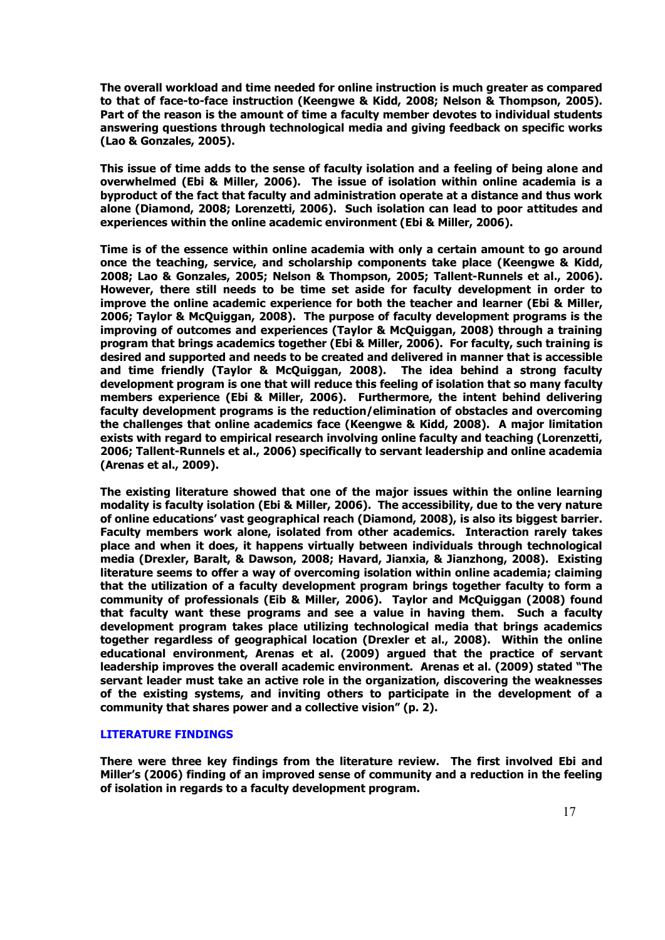**The overall workload and time needed for online instruction is much greater as compared to that of face-to-face instruction (Keengwe & Kidd, 2008; Nelson & Thompson, 2005). Part of the reason is the amount of time a faculty member devotes to individual students answering questions through technological media and giving feedback on specific works (Lao & Gonzales, 2005).** 

**This issue of time adds to the sense of faculty isolation and a feeling of being alone and overwhelmed (Ebi & Miller, 2006). The issue of isolation within online academia is a byproduct of the fact that faculty and administration operate at a distance and thus work alone (Diamond, 2008; Lorenzetti, 2006). Such isolation can lead to poor attitudes and experiences within the online academic environment (Ebi & Miller, 2006).** 

**Time is of the essence within online academia with only a certain amount to go around once the teaching, service, and scholarship components take place (Keengwe & Kidd, 2008; Lao & Gonzales, 2005; Nelson & Thompson, 2005; Tallent-Runnels et al., 2006). However, there still needs to be time set aside for faculty development in order to improve the online academic experience for both the teacher and learner (Ebi & Miller, 2006; Taylor & McQuiggan, 2008). The purpose of faculty development programs is the improving of outcomes and experiences (Taylor & McQuiggan, 2008) through a training program that brings academics together (Ebi & Miller, 2006). For faculty, such training is desired and supported and needs to be created and delivered in manner that is accessible and time friendly (Taylor & McQuiggan, 2008). The idea behind a strong faculty development program is one that will reduce this feeling of isolation that so many faculty members experience (Ebi & Miller, 2006). Furthermore, the intent behind delivering faculty development programs is the reduction/elimination of obstacles and overcoming the challenges that online academics face (Keengwe & Kidd, 2008). A major limitation exists with regard to empirical research involving online faculty and teaching (Lorenzetti, 2006; Tallent-Runnels et al., 2006) specifically to servant leadership and online academia (Arenas et al., 2009).** 

**The existing literature showed that one of the major issues within the online learning modality is faculty isolation (Ebi & Miller, 2006). The accessibility, due to the very nature of online educations' vast geographical reach (Diamond, 2008), is also its biggest barrier. Faculty members work alone, isolated from other academics. Interaction rarely takes place and when it does, it happens virtually between individuals through technological media (Drexler, Baralt, & Dawson, 2008; Havard, Jianxia, & Jianzhong, 2008). Existing literature seems to offer a way of overcoming isolation within online academia; claiming that the utilization of a faculty development program brings together faculty to form a community of professionals (Eib & Miller, 2006). Taylor and McQuiggan (2008) found that faculty want these programs and see a value in having them. Such a faculty development program takes place utilizing technological media that brings academics together regardless of geographical location (Drexler et al., 2008). Within the online educational environment, Arenas et al. (2009) argued that the practice of servant leadership improves the overall academic environment. Arenas et al. (2009) stated "The servant leader must take an active role in the organization, discovering the weaknesses of the existing systems, and inviting others to participate in the development of a community that shares power and a collective vision" (p. 2).** 

## **LITERATURE FINDINGS**

**There were three key findings from the literature review. The first involved Ebi and Miller's (2006) finding of an improved sense of community and a reduction in the feeling of isolation in regards to a faculty development program.**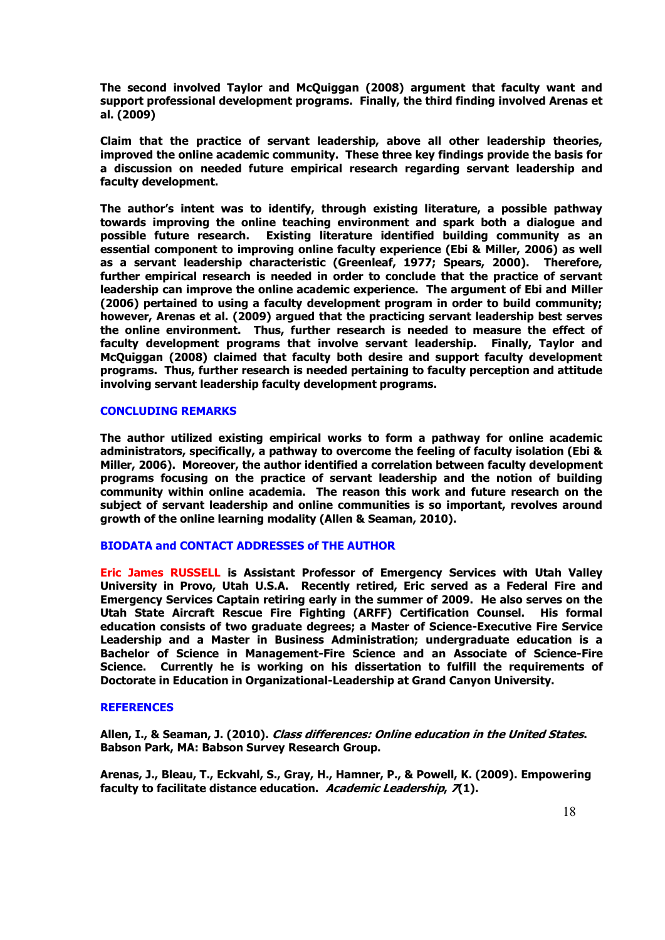**The second involved Taylor and McQuiggan (2008) argument that faculty want and support professional development programs. Finally, the third finding involved Arenas et al. (2009)** 

**Claim that the practice of servant leadership, above all other leadership theories, improved the online academic community. These three key findings provide the basis for a discussion on needed future empirical research regarding servant leadership and faculty development.** 

**The author's intent was to identify, through existing literature, a possible pathway towards improving the online teaching environment and spark both a dialogue and Existing literature identified building community as an essential component to improving online faculty experience (Ebi & Miller, 2006) as well as a servant leadership characteristic (Greenleaf, 1977; Spears, 2000). Therefore, further empirical research is needed in order to conclude that the practice of servant leadership can improve the online academic experience. The argument of Ebi and Miller (2006) pertained to using a faculty development program in order to build community; however, Arenas et al. (2009) argued that the practicing servant leadership best serves the online environment. Thus, further research is needed to measure the effect of faculty development programs that involve servant leadership. Finally, Taylor and McQuiggan (2008) claimed that faculty both desire and support faculty development programs. Thus, further research is needed pertaining to faculty perception and attitude involving servant leadership faculty development programs.** 

#### **CONCLUDING REMARKS**

**The author utilized existing empirical works to form a pathway for online academic administrators, specifically, a pathway to overcome the feeling of faculty isolation (Ebi & Miller, 2006). Moreover, the author identified a correlation between faculty development programs focusing on the practice of servant leadership and the notion of building community within online academia. The reason this work and future research on the subject of servant leadership and online communities is so important, revolves around growth of the online learning modality (Allen & Seaman, 2010).** 

#### **BIODATA and CONTACT ADDRESSES of THE AUTHOR**

**Eric James RUSSELL is Assistant Professor of Emergency Services with Utah Valley University in Provo, Utah U.S.A. Recently retired, Eric served as a Federal Fire and Emergency Services Captain retiring early in the summer of 2009. He also serves on the Utah State Aircraft Rescue Fire Fighting (ARFF) Certification Counsel. His formal education consists of two graduate degrees; a Master of Science-Executive Fire Service Leadership and a Master in Business Administration; undergraduate education is a Bachelor of Science in Management-Fire Science and an Associate of Science-Fire Science. Currently he is working on his dissertation to fulfill the requirements of Doctorate in Education in Organizational-Leadership at Grand Canyon University.** 

# **REFERENCES**

**Allen, I., & Seaman, J. (2010). Class differences: Online education in the United States. Babson Park, MA: Babson Survey Research Group.** 

**Arenas, J., Bleau, T., Eckvahl, S., Gray, H., Hamner, P., & Powell, K. (2009). Empowering faculty to facilitate distance education. Academic Leadership, 7(1).**